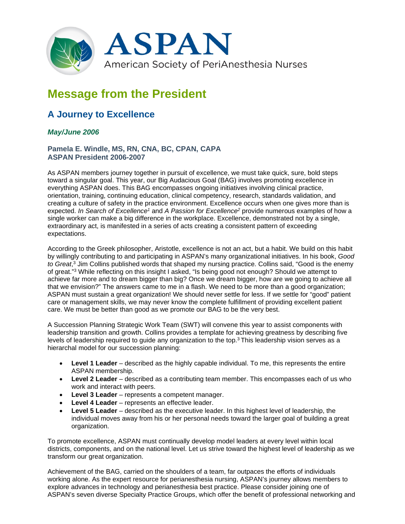

## **Message from the President**

## **A Journey to Excellence**

## *May/June 2006*

**Pamela E. Windle, MS, RN, CNA, BC, CPAN, CAPA ASPAN President 2006-2007**

As ASPAN members journey together in pursuit of excellence, we must take quick, sure, bold steps toward a singular goal. This year, our Big Audacious Goal (BAG) involves promoting excellence in everything ASPAN does. This BAG encompasses ongoing initiatives involving clinical practice, orientation, training, continuing education, clinical competency, research, standards validation, and creating a culture of safety in the practice environment. Excellence occurs when one gives more than is expected. *In Search of Excellence1* and *A Passion for Excellence2* provide numerous examples of how a single worker can make a big difference in the workplace. Excellence, demonstrated not by a single, extraordinary act, is manifested in a series of acts creating a consistent pattern of exceeding expectations.

According to the Greek philosopher, Aristotle, excellence is not an act, but a habit. We build on this habit by willingly contributing to and participating in ASPAN's many organizational initiatives. In his book, *Good to Great*, <sup>3</sup> Jim Collins published words that shaped my nursing practice. Collins said, "Good is the enemy of great."3 While reflecting on this insight I asked, "Is being good not enough? Should we attempt to achieve far more and to dream bigger than big? Once we dream bigger, how are we going to achieve all that we envision?" The answers came to me in a flash. We need to be more than a good organization; ASPAN must sustain a great organization! We should never settle for less. If we settle for "good" patient care or management skills, we may never know the complete fulfillment of providing excellent patient care. We must be better than good as we promote our BAG to be the very best.

A Succession Planning Strategic Work Team (SWT) will convene this year to assist components with leadership transition and growth. Collins provides a template for achieving greatness by describing five levels of leadership required to guide any organization to the top.3 This leadership vision serves as a hierarchal model for our succession planning:

- **Level 1 Leader** described as the highly capable individual. To me, this represents the entire ASPAN membership.
- **Level 2 Leader** described as a contributing team member. This encompasses each of us who work and interact with peers.
- **Level 3 Leader** represents a competent manager.
- **Level 4 Leader** represents an effective leader.
- **Level 5 Leader** described as the executive leader. In this highest level of leadership, the individual moves away from his or her personal needs toward the larger goal of building a great organization.

To promote excellence, ASPAN must continually develop model leaders at every level within local districts, components, and on the national level. Let us strive toward the highest level of leadership as we transform our great organization.

Achievement of the BAG, carried on the shoulders of a team, far outpaces the efforts of individuals working alone. As the expert resource for perianesthesia nursing, ASPAN's journey allows members to explore advances in technology and perianesthesia best practice. Please consider joining one of ASPAN's seven diverse Specialty Practice Groups, which offer the benefit of professional networking and